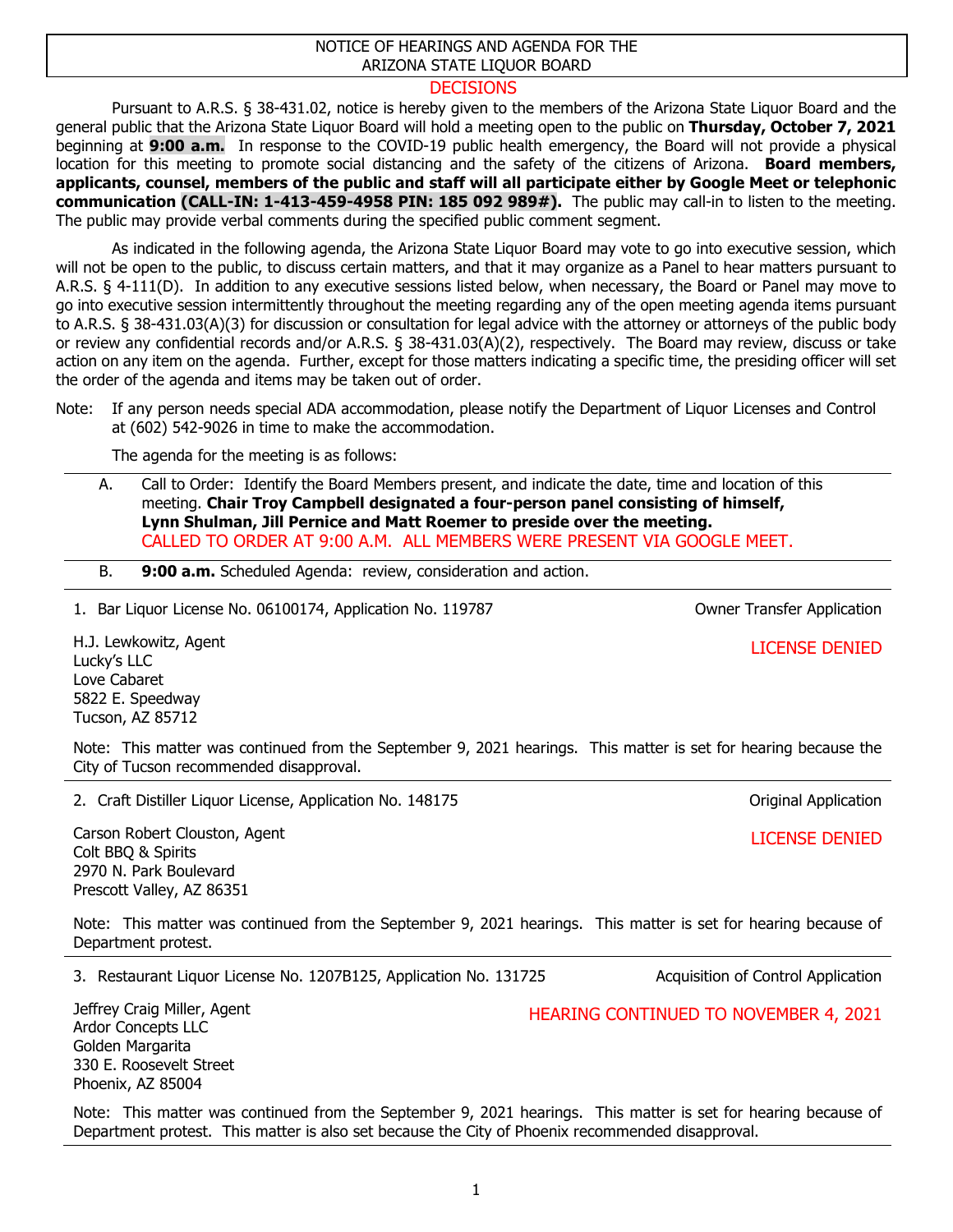## NOTICE OF HEARINGS AND AGENDA FOR THE ARIZONA STATE LIQUOR BOARD

## **DECISIONS**

Pursuant to A.R.S. § 38-431.02, notice is hereby given to the members of the Arizona State Liquor Board and the general public that the Arizona State Liquor Board will hold a meeting open to the public on **Thursday, October 7, 2021** beginning at **9:00 a.m.** In response to the COVID-19 public health emergency, the Board will not provide a physical location for this meeting to promote social distancing and the safety of the citizens of Arizona. **Board members, applicants, counsel, members of the public and staff will all participate either by Google Meet or telephonic communication (CALL-IN: 1-413-459-4958 PIN: 185 092 989#).** The public may call-in to listen to the meeting. The public may provide verbal comments during the specified public comment segment.

As indicated in the following agenda, the Arizona State Liquor Board may vote to go into executive session, which will not be open to the public, to discuss certain matters, and that it may organize as a Panel to hear matters pursuant to A.R.S. § 4-111(D). In addition to any executive sessions listed below, when necessary, the Board or Panel may move to go into executive session intermittently throughout the meeting regarding any of the open meeting agenda items pursuant to A.R.S. § 38-431.03(A)(3) for discussion or consultation for legal advice with the attorney or attorneys of the public body or review any confidential records and/or A.R.S. § 38-431.03(A)(2), respectively. The Board may review, discuss or take action on any item on the agenda. Further, except for those matters indicating a specific time, the presiding officer will set the order of the agenda and items may be taken out of order.

## Note: If any person needs special ADA accommodation, please notify the Department of Liquor Licenses and Control at (602) 542-9026 in time to make the accommodation.

The agenda for the meeting is as follows:

- A. Call to Order: Identify the Board Members present, and indicate the date, time and location of this meeting. **Chair Troy Campbell designated a four-person panel consisting of himself, Lynn Shulman, Jill Pernice and Matt Roemer to preside over the meeting.** CALLED TO ORDER AT 9:00 A.M. ALL MEMBERS WERE PRESENT VIA GOOGLE MEET.
- B. **9:00 a.m.** Scheduled Agenda: review, consideration and action.

1. Bar Liquor License No. 06100174, Application No. 119787 Owner Transfer Application

H.J. Lewkowitz, Agent Lucky's LLC Love Cabaret 5822 E. Speedway Tucson, AZ 85712

Note: This matter was continued from the September 9, 2021 hearings. This matter is set for hearing because the City of Tucson recommended disapproval.

2. Craft Distiller Liquor License, Application No. 148175

Carson Robert Clouston, Agent Colt BBQ & Spirits 2970 N. Park Boulevard Prescott Valley, AZ 86351

Note: This matter was continued from the September 9, 2021 hearings. This matter is set for hearing because of Department protest.

3. Restaurant Liquor License No. 1207B125, Application No. 131725 Acquisition of Control Application

Jeffrey Craig Miller, Agent Ardor Concepts LLC Golden Margarita 330 E. Roosevelt Street Phoenix, AZ 85004

Note: This matter was continued from the September 9, 2021 hearings. This matter is set for hearing because of Department protest. This matter is also set because the City of Phoenix recommended disapproval.

LICENSE DENIED

HEARING CONTINUED TO NOVEMBER 4, 2021

LICENSE DENIED